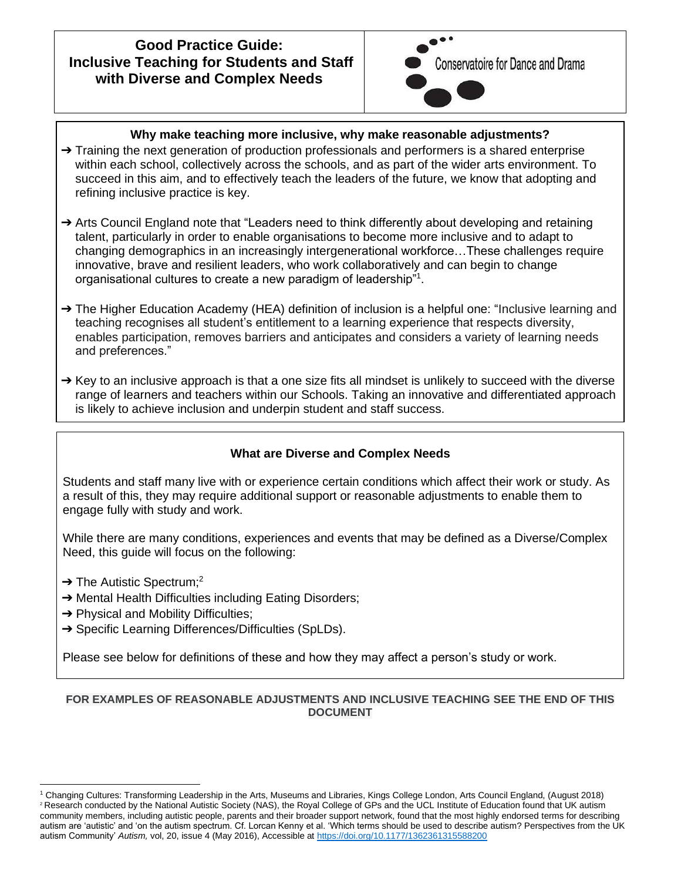## **Good Practice Guide: Inclusive Teaching for Students and Staff with Diverse and Complex Needs**



## **Why make teaching more inclusive, why make reasonable adjustments?**

- $\rightarrow$  Training the next generation of production professionals and performers is a shared enterprise within each school, collectively across the schools, and as part of the wider arts environment. To succeed in this aim, and to effectively teach the leaders of the future, we know that adopting and refining inclusive practice is key.
- ➔ Arts Council England note that "Leaders need to think differently about developing and retaining talent, particularly in order to enable organisations to become more inclusive and to adapt to changing demographics in an increasingly intergenerational workforce…These challenges require innovative, brave and resilient leaders, who work collaboratively and can begin to change organisational cultures to create a new paradigm of leadership"<sup>1</sup>.
- → The Higher Education Academy (HEA) definition of inclusion is a helpful one: "Inclusive learning and teaching recognises all student's entitlement to a learning experience that respects diversity, enables participation, removes barriers and anticipates and considers a variety of learning needs and preferences."
- $\rightarrow$  Key to an inclusive approach is that a one size fits all mindset is unlikely to succeed with the diverse range of learners and teachers within our Schools. Taking an innovative and differentiated approach is likely to achieve inclusion and underpin student and staff success.

## **What are Diverse and Complex Needs**

Students and staff many live with or experience certain conditions which affect their work or study. As a result of this, they may require additional support or reasonable adjustments to enable them to engage fully with study and work.

While there are many conditions, experiences and events that may be defined as a Diverse/Complex Need, this guide will focus on the following:

- $\rightarrow$  The Autistic Spectrum;<sup>2</sup>
- → Mental Health Difficulties including Eating Disorders;
- $\rightarrow$  Physical and Mobility Difficulties;
- → Specific Learning Differences/Difficulties (SpLDs).

Please see below for definitions of these and how they may affect a person's study or work.

#### **FOR EXAMPLES OF REASONABLE ADJUSTMENTS AND INCLUSIVE TEACHING SEE THE END OF THIS DOCUMENT**

<sup>1</sup> Changing Cultures: Transforming Leadership in the Arts, Museums and Libraries, Kings College London, Arts Council England, (August 2018) <sup>2</sup> Research conducted by the National Autistic Society (NAS), the Royal College of GPs and the UCL Institute of Education found that UK autism community members, including autistic people, parents and their broader support network, found that the most highly endorsed terms for describing autism are 'autistic' and 'on the autism spectrum. Cf. Lorcan Kenny et al. 'Which terms should be used to describe autism? Perspectives from the UK autism Community' *Autism,* vol, 20, issue 4 (May 2016), Accessible at [https://doi.org/10.1177/1362361315588200](https://doi.org/10.1177%2F1362361315588200)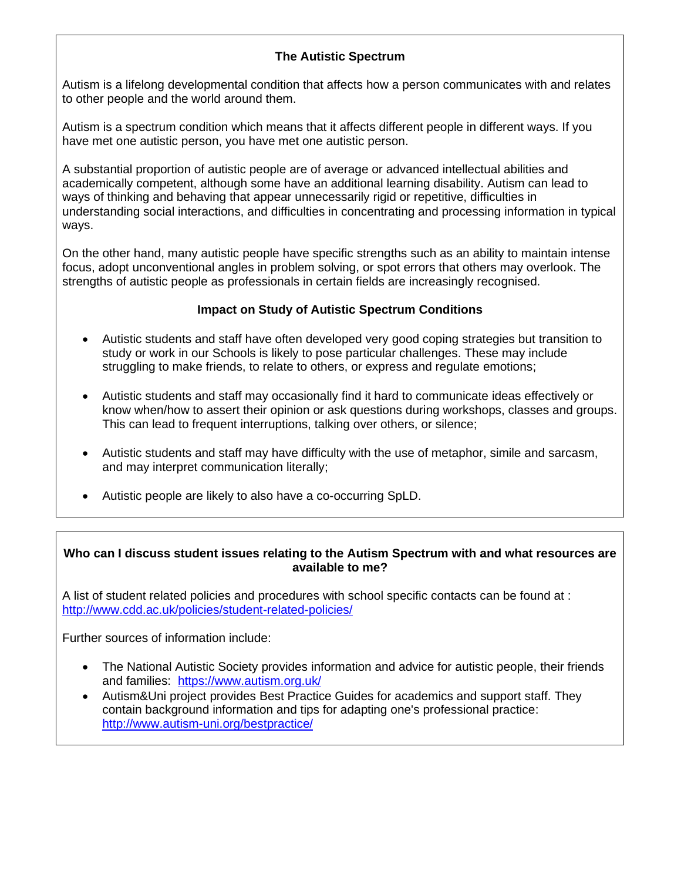## **The Autistic Spectrum**

Autism is a lifelong developmental condition that affects how a person communicates with and relates to other people and the world around them.

Autism is a spectrum condition which means that it affects different people in different ways. If you have met one autistic person, you have met one autistic person.

A substantial proportion of autistic people are of average or advanced intellectual abilities and academically competent, although some have an additional learning disability. Autism can lead to ways of thinking and behaving that appear unnecessarily rigid or repetitive, difficulties in understanding social interactions, and difficulties in concentrating and processing information in typical ways.

On the other hand, many autistic people have specific strengths such as an ability to maintain intense focus, adopt unconventional angles in problem solving, or spot errors that others may overlook. The strengths of autistic people as professionals in certain fields are increasingly recognised.

#### **Impact on Study of Autistic Spectrum Conditions**

- Autistic students and staff have often developed very good coping strategies but transition to study or work in our Schools is likely to pose particular challenges. These may include struggling to make friends, to relate to others, or express and regulate emotions;
- Autistic students and staff may occasionally find it hard to communicate ideas effectively or know when/how to assert their opinion or ask questions during workshops, classes and groups. This can lead to frequent interruptions, talking over others, or silence;
- Autistic students and staff may have difficulty with the use of metaphor, simile and sarcasm, and may interpret communication literally;
- Autistic people are likely to also have a co-occurring SpLD.

#### **Who can I discuss student issues relating to the Autism Spectrum with and what resources are available to me?**

A list of student related policies and procedures with school specific contacts can be found at : <http://www.cdd.ac.uk/policies/student-related-policies/>

Further sources of information include:

- [The National Autistic Society](http://www.autism.org.uk/) provides information and advice for autistic people, their friends and families: <https://www.autism.org.uk/>
- [Autism&Uni project](http://www.autism-uni.org/bestpractice) provides Best Practice Guides for academics and support staff. They contain background information and tips for adapting one's professional practice: <http://www.autism-uni.org/bestpractice/>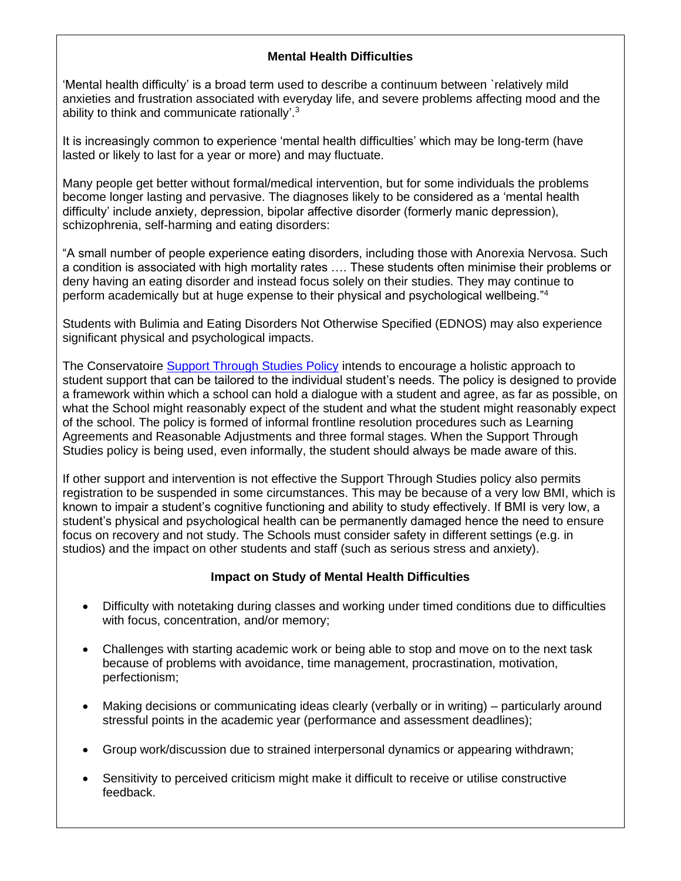#### **Mental Health Difficulties**

'Mental health difficulty' is a broad term used to describe a continuum between `relatively mild anxieties and frustration associated with everyday life, and severe problems affecting mood and the ability to think and communicate rationally'.<sup>3</sup>

It is increasingly common to experience 'mental health difficulties' which may be long-term (have lasted or likely to last for a year or more) and may fluctuate.

Many people get better without formal/medical intervention, but for some individuals the problems become longer lasting and pervasive. The diagnoses likely to be considered as a 'mental health difficulty' include anxiety, depression, bipolar affective disorder (formerly manic depression), schizophrenia, self-harming and eating disorders:

"A small number of people experience eating disorders, including those with Anorexia Nervosa. Such a condition is associated with high mortality rates …. These students often minimise their problems or deny having an eating disorder and instead focus solely on their studies. They may continue to perform academically but at huge expense to their physical and psychological wellbeing."<sup>4</sup>

Students with Bulimia and Eating Disorders Not Otherwise Specified (EDNOS) may also experience significant physical and psychological impacts.

The Conservatoire [Support Through Studies Policy](http://www.cdd.ac.uk/policies/student-related-policies/) intends to encourage a holistic approach to student support that can be tailored to the individual student's needs. The policy is designed to provide a framework within which a school can hold a dialogue with a student and agree, as far as possible, on what the School might reasonably expect of the student and what the student might reasonably expect of the school. The policy is formed of informal frontline resolution procedures such as Learning Agreements and Reasonable Adjustments and three formal stages. When the Support Through Studies policy is being used, even informally, the student should always be made aware of this.

If other support and intervention is not effective the Support Through Studies policy also permits registration to be suspended in some circumstances. This may be because of a very low BMI, which is known to impair a student's cognitive functioning and ability to study effectively. If BMI is very low, a student's physical and psychological health can be permanently damaged hence the need to ensure focus on recovery and not study. The Schools must consider safety in different settings (e.g. in studios) and the impact on other students and staff (such as serious stress and anxiety).

#### **Impact on Study of Mental Health Difficulties**

- Difficulty with notetaking during classes and working under timed conditions due to difficulties with focus, concentration, and/or memory;
- Challenges with starting academic work or being able to stop and move on to the next task because of problems with avoidance, time management, procrastination, motivation, perfectionism;
- Making decisions or communicating ideas clearly (verbally or in writing) particularly around stressful points in the academic year (performance and assessment deadlines);
- Group work/discussion due to strained interpersonal dynamics or appearing withdrawn;
- Sensitivity to perceived criticism might make it difficult to receive or utilise constructive feedback.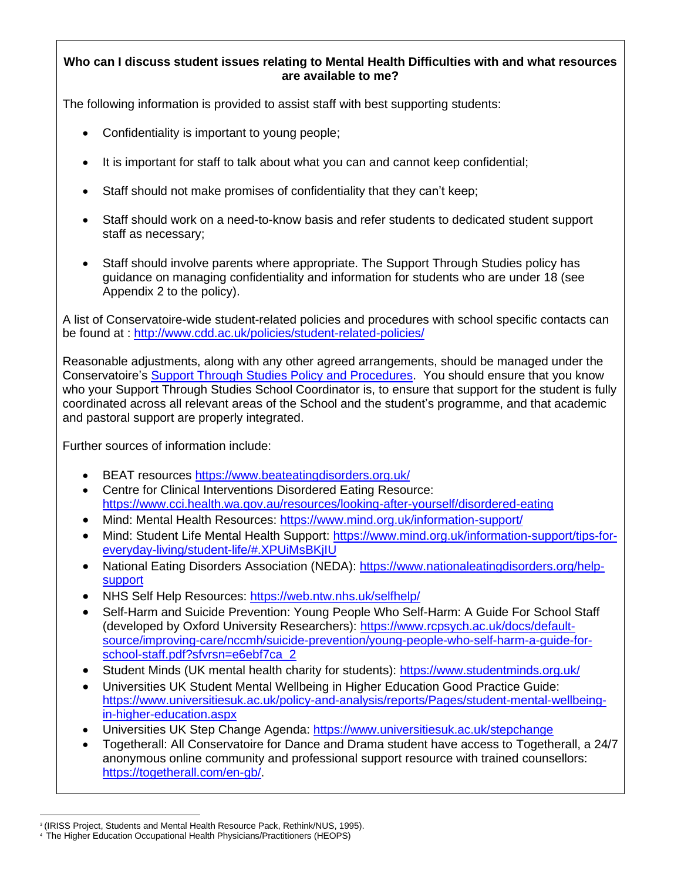### **Who can I discuss student issues relating to Mental Health Difficulties with and what resources are available to me?**

The following information is provided to assist staff with best supporting students:

- Confidentiality is important to young people;
- It is important for staff to talk about what you can and cannot keep confidential;
- Staff should not make promises of confidentiality that they can't keep:
- Staff should work on a need-to-know basis and refer students to dedicated student support staff as necessary;
- Staff should involve parents where appropriate. The Support Through Studies policy has guidance on managing confidentiality and information for students who are under 18 (see Appendix 2 to the policy).

A list of Conservatoire-wide student-related policies and procedures with school specific contacts can be found at :<http://www.cdd.ac.uk/policies/student-related-policies/>

Reasonable adjustments, along with any other agreed arrangements, should be managed under the Conservatoire's [Support Through Studies Policy and Procedures.](http://www.cdd.ac.uk/policies/student-related-policies/) You should ensure that you know who your Support Through Studies School Coordinator is, to ensure that support for the student is fully coordinated across all relevant areas of the School and the student's programme, and that academic and pastoral support are properly integrated.

Further sources of information include:

- BEAT resources<https://www.beateatingdisorders.org.uk/>
- Centre for Clinical Interventions Disordered Eating Resource: <https://www.cci.health.wa.gov.au/resources/looking-after-yourself/disordered-eating>
- Mind: Mental Health Resources:<https://www.mind.org.uk/information-support/>
- Mind: Student Life Mental Health Support: [https://www.mind.org.uk/information-support/tips-for](https://www.mind.org.uk/information-support/tips-for-everyday-living/student-life/#.XPUiMsBKjIU)[everyday-living/student-life/#.XPUiMsBKjIU](https://www.mind.org.uk/information-support/tips-for-everyday-living/student-life/#.XPUiMsBKjIU)
- National Eating Disorders Association (NEDA): [https://www.nationaleatingdisorders.org/help](https://www.nationaleatingdisorders.org/help-support)[support](https://www.nationaleatingdisorders.org/help-support)
- NHS Self Help Resources:<https://web.ntw.nhs.uk/selfhelp/>
- Self-Harm and Suicide Prevention: Young People Who Self-Harm: A Guide For School Staff (developed by Oxford University Researchers): [https://www.rcpsych.ac.uk/docs/default](https://www.rcpsych.ac.uk/docs/default-source/improving-care/nccmh/suicide-prevention/young-people-who-self-harm-a-guide-for-school-staff.pdf?sfvrsn=e6ebf7ca_2)[source/improving-care/nccmh/suicide-prevention/young-people-who-self-harm-a-guide-for](https://www.rcpsych.ac.uk/docs/default-source/improving-care/nccmh/suicide-prevention/young-people-who-self-harm-a-guide-for-school-staff.pdf?sfvrsn=e6ebf7ca_2)[school-staff.pdf?sfvrsn=e6ebf7ca\\_2](https://www.rcpsych.ac.uk/docs/default-source/improving-care/nccmh/suicide-prevention/young-people-who-self-harm-a-guide-for-school-staff.pdf?sfvrsn=e6ebf7ca_2)
- Student Minds (UK mental health charity for students):<https://www.studentminds.org.uk/>
- Universities UK Student Mental Wellbeing in Higher Education Good Practice Guide: [https://www.universitiesuk.ac.uk/policy-and-analysis/reports/Pages/student-mental-wellbeing](https://www.universitiesuk.ac.uk/policy-and-analysis/reports/Pages/student-mental-wellbeing-in-higher-education.aspx)[in-higher-education.aspx](https://www.universitiesuk.ac.uk/policy-and-analysis/reports/Pages/student-mental-wellbeing-in-higher-education.aspx)
- Universities UK Step Change Agenda:<https://www.universitiesuk.ac.uk/stepchange>
- Togetherall: All Conservatoire for Dance and Drama student have access to Togetherall, a 24/7 anonymous online community and professional support resource with trained counsellors: [https://togetherall.com/en-gb/.](https://togetherall.com/en-gb/)

<sup>&</sup>lt;sup>3</sup> (IRISS Project, Students and Mental Health Resource Pack, Rethink/NUS, 1995).

<sup>4</sup> The Higher Education Occupational Health Physicians/Practitioners (HEOPS)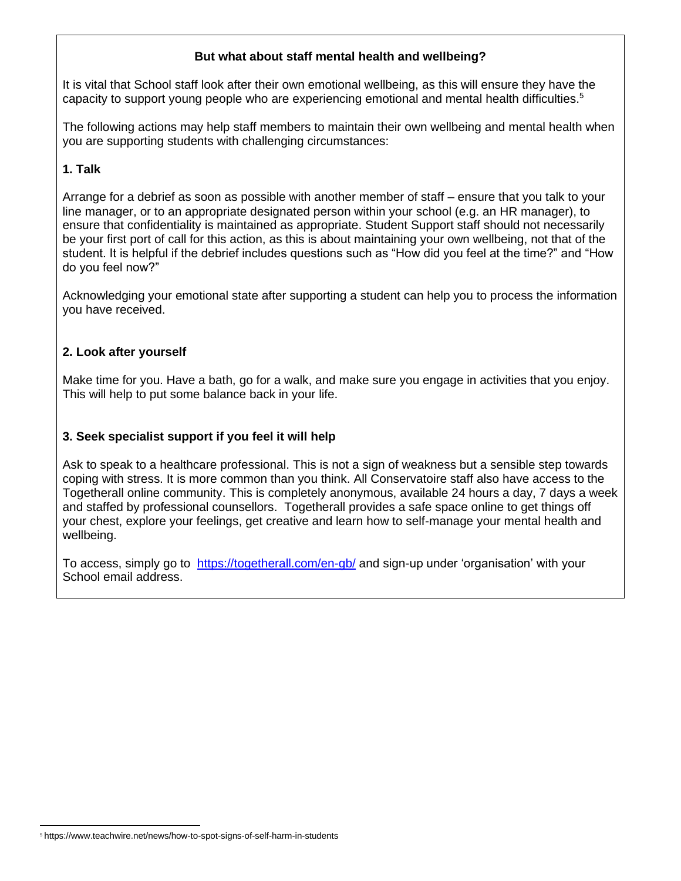#### **But what about staff mental health and wellbeing?**

It is vital that School staff look after their own emotional wellbeing, as this will ensure they have the capacity to support young people who are experiencing emotional and mental health difficulties. 5

The following actions may help staff members to maintain their own wellbeing and mental health when you are supporting students with challenging circumstances:

#### **1. Talk**

Arrange for a debrief as soon as possible with another member of staff – ensure that you talk to your line manager, or to an appropriate designated person within your school (e.g. an HR manager), to ensure that confidentiality is maintained as appropriate. Student Support staff should not necessarily be your first port of call for this action, as this is about maintaining your own wellbeing, not that of the student. It is helpful if the debrief includes questions such as "How did you feel at the time?" and "How do you feel now?"

Acknowledging your emotional state after supporting a student can help you to process the information you have received.

#### **2. Look after yourself**

Make time for you. Have a bath, go for a walk, and make sure you engage in activities that you enjoy. This will help to put some balance back in your life.

#### **3. Seek specialist support if you feel it will help**

Ask to speak to a healthcare professional. This is not a sign of weakness but a sensible step towards coping with stress. It is more common than you think. All Conservatoire staff also have access to the Togetherall online community. This is completely anonymous, available 24 hours a day, 7 days a week and staffed by professional counsellors. Togetherall provides a safe space online to get things off your chest, explore your feelings, get creative and learn how to self-manage your mental health and wellbeing.

To access, simply go to <https://togetherall.com/en-gb/> and sign-up under 'organisation' with your School email address.

<sup>5</sup> https://www.teachwire.net/news/how-to-spot-signs-of-self-harm-in-students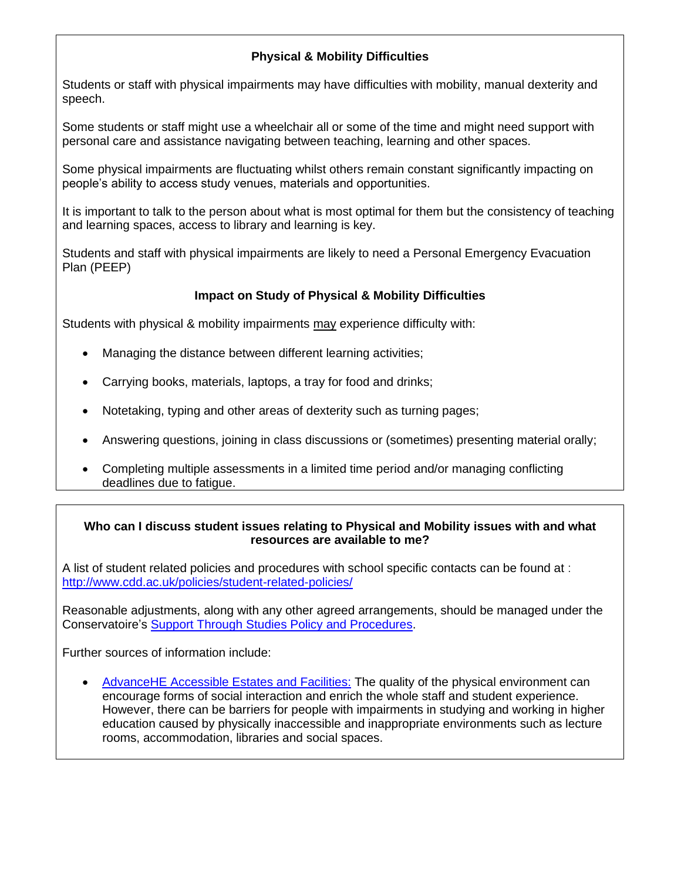## **Physical & Mobility Difficulties**

Students or staff with physical impairments may have difficulties with mobility, manual dexterity and speech.

Some students or staff might use a wheelchair all or some of the time and might need support with personal care and assistance navigating between teaching, learning and other spaces.

Some physical impairments are fluctuating whilst others remain constant significantly impacting on people's ability to access study venues, materials and opportunities.

It is important to talk to the person about what is most optimal for them but the consistency of teaching and learning spaces, access to library and learning is key.

Students and staff with physical impairments are likely to need a Personal Emergency Evacuation Plan (PEEP)

### **Impact on Study of Physical & Mobility Difficulties**

Students with physical & mobility impairments may experience difficulty with:

- Managing the distance between different learning activities;
- Carrying books, materials, laptops, a tray for food and drinks;
- Notetaking, typing and other areas of dexterity such as turning pages;
- Answering questions, joining in class discussions or (sometimes) presenting material orally;
- Completing multiple assessments in a limited time period and/or managing conflicting deadlines due to fatigue.

#### **Who can I discuss student issues relating to Physical and Mobility issues with and what resources are available to me?**

A list of student related policies and procedures with school specific contacts can be found at : <http://www.cdd.ac.uk/policies/student-related-policies/>

Reasonable adjustments, along with any other agreed arrangements, should be managed under the Conservatoire's [Support Through Studies Policy and Procedures.](http://www.cdd.ac.uk/policies/student-related-policies/)

Further sources of information include:

• [AdvanceHE Accessible Estates and Facilities:](https://www.advance-he.ac.uk/guidance/equality-diversity-and-inclusion/creating-inclusive-environment/accessible-estates-and-facilities) The quality of the physical environment can encourage forms of social interaction and enrich the whole staff and student experience. However, there can be barriers for people with impairments in studying and working in higher education caused by physically inaccessible and inappropriate environments such as lecture rooms, accommodation, libraries and social spaces.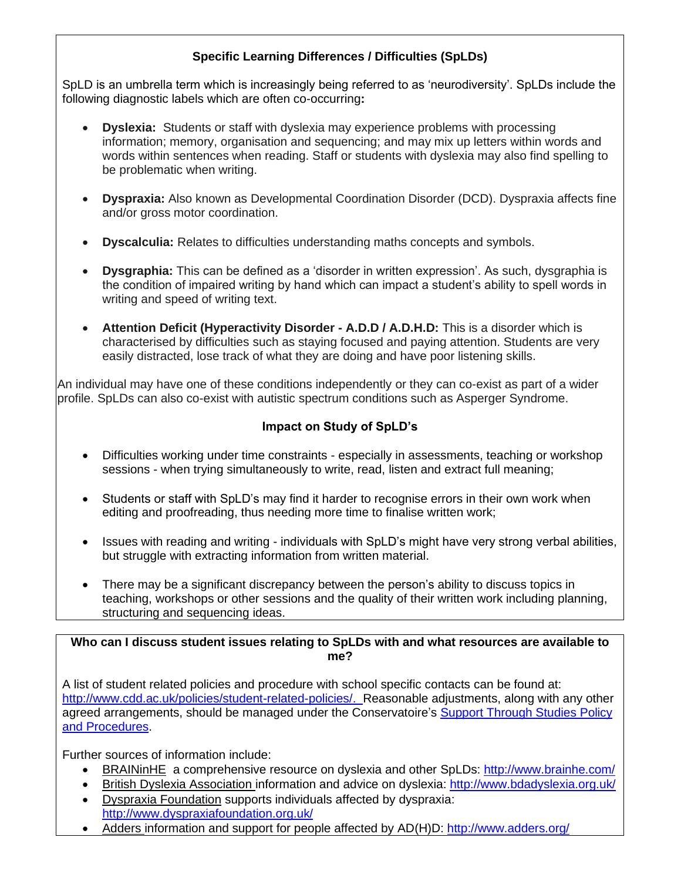## **Specific Learning Differences / Difficulties (SpLDs)**

SpLD is an umbrella term which is increasingly being referred to as 'neurodiversity'. SpLDs include the following diagnostic labels which are often co-occurring**:**

- **Dyslexia:** Students or staff with dyslexia may experience problems with processing information; memory, organisation and sequencing; and may mix up letters within words and words within sentences when reading. Staff or students with dyslexia may also find spelling to be problematic when writing.
- **Dyspraxia:** Also known as Developmental Coordination Disorder (DCD). Dyspraxia affects fine and/or gross motor coordination.
- **Dyscalculia:** Relates to difficulties understanding maths concepts and symbols.
- **Dysgraphia:** This can be defined as a 'disorder in written expression'. As such, dysgraphia is the condition of impaired writing by hand which can impact a student's ability to spell words in writing and speed of writing text.
- **Attention Deficit (Hyperactivity Disorder - A.D.D / A.D.H.D:** This is a disorder which is characterised by difficulties such as staying focused and paying attention. Students are very easily distracted, lose track of what they are doing and have poor listening skills.

An individual may have one of these conditions independently or they can co-exist as part of a wider profile. SpLDs can also co-exist with autistic spectrum conditions such as Asperger Syndrome.

## **Impact on Study of SpLD's**

- Difficulties working under time constraints especially in assessments, teaching or workshop sessions - when trying simultaneously to write, read, listen and extract full meaning;
- Students or staff with SpLD's may find it harder to recognise errors in their own work when editing and proofreading, thus needing more time to finalise written work;
- Issues with reading and writing individuals with SpLD's might have very strong verbal abilities, but struggle with extracting information from written material.
- There may be a significant discrepancy between the person's ability to discuss topics in teaching, workshops or other sessions and the quality of their written work including planning, structuring and sequencing ideas.

**Who can I discuss student issues relating to SpLDs with and what resources are available to me?**

A list of student related policies and procedure with school specific contacts can be found at: [http://www.cdd.ac.uk/policies/student-related-policies/.](http://www.cdd.ac.uk/policies/student-related-policies/) Reasonable adjustments, along with any other agreed arrangements, should be managed under the Conservatoire's [Support Through Studies Policy](http://www.cdd.ac.uk/policies/student-related-policies/)  [and Procedures.](http://www.cdd.ac.uk/policies/student-related-policies/)

Further sources of information include:

- [BRAINinHE](http://www.brainhe.com/students/types/dyslexia.html) a comprehensive resource on dyslexia and other SpLDs: <http://www.brainhe.com/>
- [British Dyslexia Association](http://www.bdadyslexia.org.uk/) information and advice on dyslexia: <http://www.bdadyslexia.org.uk/>
- [Dyspraxia Foundation](http://www.dyspraxiafoundation.org.uk/) supports individuals affected by dyspraxia: <http://www.dyspraxiafoundation.org.uk/>
- [Adders](http://www.adders.org/) information and support for people affected by AD(H)D: <http://www.adders.org/>